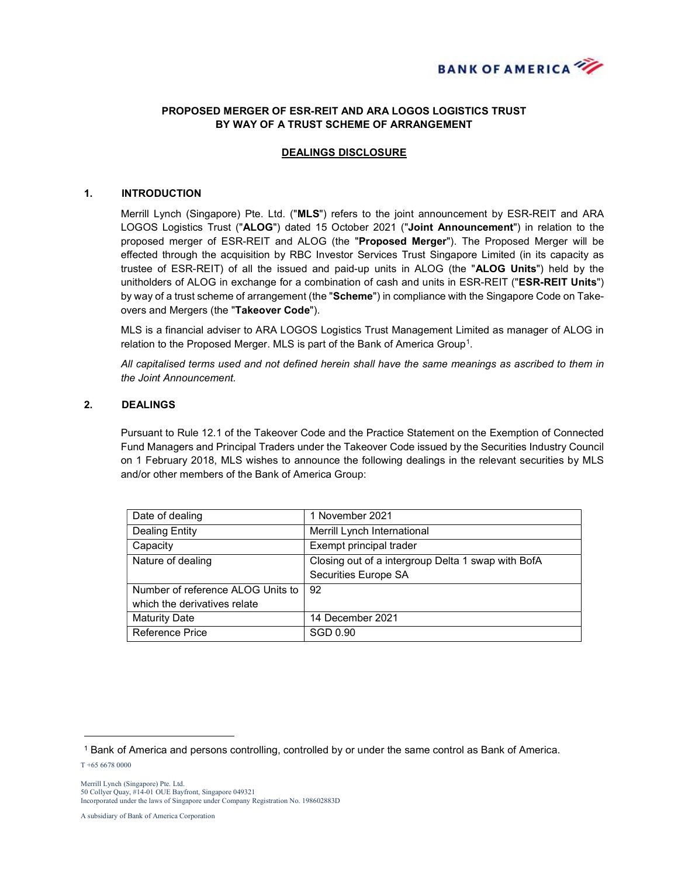

# PROPOSED MERGER OF ESR-REIT AND ARA LOGOS LOGISTICS TRUST BY WAY OF A TRUST SCHEME OF ARRANGEMENT

## DEALINGS DISCLOSURE

#### 1. INTRODUCTION

Merrill Lynch (Singapore) Pte. Ltd. ("MLS") refers to the joint announcement by ESR-REIT and ARA LOGOS Logistics Trust ("ALOG") dated 15 October 2021 ("Joint Announcement") in relation to the proposed merger of ESR-REIT and ALOG (the "Proposed Merger"). The Proposed Merger will be effected through the acquisition by RBC Investor Services Trust Singapore Limited (in its capacity as trustee of ESR-REIT) of all the issued and paid-up units in ALOG (the "ALOG Units") held by the unitholders of ALOG in exchange for a combination of cash and units in ESR-REIT ("ESR-REIT Units") by way of a trust scheme of arrangement (the "Scheme") in compliance with the Singapore Code on Takeovers and Mergers (the "Takeover Code").

MLS is a financial adviser to ARA LOGOS Logistics Trust Management Limited as manager of ALOG in relation to the Proposed Merger. MLS is part of the Bank of America Group<sup>1</sup>.

All capitalised terms used and not defined herein shall have the same meanings as ascribed to them in the Joint Announcement.

### 2. DEALINGS

Pursuant to Rule 12.1 of the Takeover Code and the Practice Statement on the Exemption of Connected Fund Managers and Principal Traders under the Takeover Code issued by the Securities Industry Council on 1 February 2018, MLS wishes to announce the following dealings in the relevant securities by MLS and/or other members of the Bank of America Group:

| Date of dealing                   | 1 November 2021                                    |
|-----------------------------------|----------------------------------------------------|
| Dealing Entity                    | Merrill Lynch International                        |
| Capacity                          | Exempt principal trader                            |
| Nature of dealing                 | Closing out of a intergroup Delta 1 swap with BofA |
|                                   | Securities Europe SA                               |
| Number of reference ALOG Units to | 92                                                 |
| which the derivatives relate      |                                                    |
| <b>Maturity Date</b>              | 14 December 2021                                   |
| <b>Reference Price</b>            | SGD 0.90                                           |

T +65 6678 0000

 $\overline{a}$ 

A subsidiary of Bank of America Corporation

<sup>1</sup> Bank of America and persons controlling, controlled by or under the same control as Bank of America.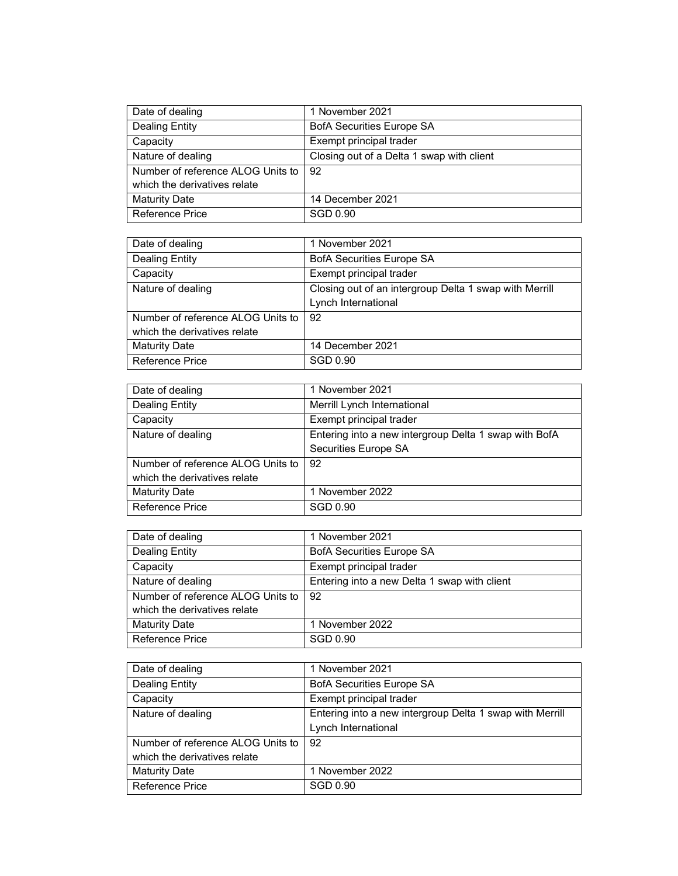| Date of dealing                   | 1 November 2021                           |
|-----------------------------------|-------------------------------------------|
| <b>Dealing Entity</b>             | <b>BofA Securities Europe SA</b>          |
| Capacity                          | Exempt principal trader                   |
| Nature of dealing                 | Closing out of a Delta 1 swap with client |
| Number of reference ALOG Units to | 92                                        |
| which the derivatives relate      |                                           |
| <b>Maturity Date</b>              | 14 December 2021                          |
| Reference Price                   | SGD 0.90                                  |

| Date of dealing                   | 1 November 2021                                        |
|-----------------------------------|--------------------------------------------------------|
| Dealing Entity                    | <b>BofA Securities Europe SA</b>                       |
| Capacity                          | Exempt principal trader                                |
| Nature of dealing                 | Closing out of an intergroup Delta 1 swap with Merrill |
|                                   | Lynch International                                    |
| Number of reference ALOG Units to | 92                                                     |
| which the derivatives relate      |                                                        |
| <b>Maturity Date</b>              | 14 December 2021                                       |
| <b>Reference Price</b>            | SGD 0.90                                               |

| Date of dealing                   | 1 November 2021                                       |
|-----------------------------------|-------------------------------------------------------|
| Dealing Entity                    | Merrill Lynch International                           |
| Capacity                          | Exempt principal trader                               |
| Nature of dealing                 | Entering into a new intergroup Delta 1 swap with BofA |
|                                   | Securities Europe SA                                  |
| Number of reference ALOG Units to | 92                                                    |
| which the derivatives relate      |                                                       |
| <b>Maturity Date</b>              | 1 November 2022                                       |
| Reference Price                   | SGD 0.90                                              |

| Date of dealing                   | 1 November 2021                              |
|-----------------------------------|----------------------------------------------|
| <b>Dealing Entity</b>             | <b>BofA Securities Europe SA</b>             |
| Capacity                          | Exempt principal trader                      |
| Nature of dealing                 | Entering into a new Delta 1 swap with client |
| Number of reference ALOG Units to | 92                                           |
| which the derivatives relate      |                                              |
| <b>Maturity Date</b>              | 1 November 2022                              |
| l Reference Price                 | SGD 0.90                                     |

| Date of dealing                   | 1 November 2021                                          |
|-----------------------------------|----------------------------------------------------------|
| Dealing Entity                    | <b>BofA Securities Europe SA</b>                         |
| Capacity                          | Exempt principal trader                                  |
| Nature of dealing                 | Entering into a new intergroup Delta 1 swap with Merrill |
|                                   | Lynch International                                      |
| Number of reference ALOG Units to | 92                                                       |
| which the derivatives relate      |                                                          |
| <b>Maturity Date</b>              | 1 November 2022                                          |
| <b>Reference Price</b>            | SGD 0.90                                                 |